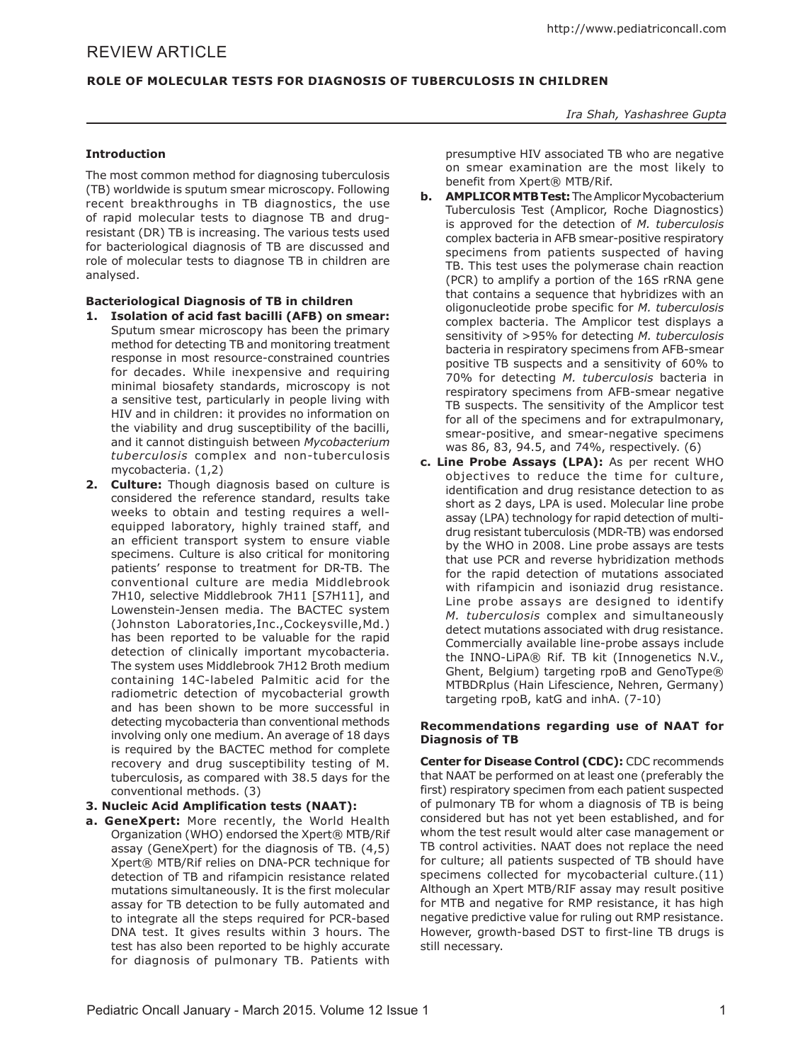# **Role of Molecular Tests for Diagnosis of Tuberculosis in Children**

#### *Ira Shah, Yashashree Gupta*

## **Introduction**

The most common method for diagnosing tuberculosis (TB) worldwide is sputum smear microscopy. Following recent breakthroughs in TB diagnostics, the use of rapid molecular tests to diagnose TB and drugresistant (DR) TB is increasing. The various tests used for bacteriological diagnosis of TB are discussed and role of molecular tests to diagnose TB in children are analysed.

#### **Bacteriological Diagnosis of TB in children**

- **1. Isolation of acid fast bacilli (AFB) on smear:**  Sputum smear microscopy has been the primary method for detecting TB and monitoring treatment response in most resource-constrained countries for decades. While inexpensive and requiring minimal biosafety standards, microscopy is not a sensitive test, particularly in people living with HIV and in children: it provides no information on the viability and drug susceptibility of the bacilli, and it cannot distinguish between *Mycobacterium tuberculosis* complex and non-tuberculosis mycobacteria. (1,2)
- **2. Culture:** Though diagnosis based on culture is considered the reference standard, results take weeks to obtain and testing requires a wellequipped laboratory, highly trained staff, and an efficient transport system to ensure viable specimens. Culture is also critical for monitoring patients' response to treatment for DR-TB. The conventional culture are media Middlebrook 7H10, selective Middlebrook 7H11 [S7H11], and Lowenstein-Jensen media. The BACTEC system (Johnston Laboratories,Inc.,Cockeysville,Md.) has been reported to be valuable for the rapid detection of clinically important mycobacteria. The system uses Middlebrook 7H12 Broth medium containing 14C-labeled Palmitic acid for the radiometric detection of mycobacterial growth and has been shown to be more successful in detecting mycobacteria than conventional methods involving only one medium. An average of 18 days is required by the BACTEC method for complete recovery and drug susceptibility testing of M. tuberculosis, as compared with 38.5 days for the conventional methods. (3)

## **3. Nucleic Acid Amplification tests (NAAT):**

**a. GeneXpert:** More recently, the World Health Organization (WHO) endorsed the Xpert® MTB/Rif assay (GeneXpert) for the diagnosis of TB. (4,5) Xpert® MTB/Rif relies on DNA-PCR technique for detection of TB and rifampicin resistance related mutations simultaneously. It is the first molecular assay for TB detection to be fully automated and to integrate all the steps required for PCR-based DNA test. It gives results within 3 hours. The test has also been reported to be highly accurate for diagnosis of pulmonary TB. Patients with presumptive HIV associated TB who are negative on smear examination are the most likely to benefit from Xpert® MTB/Rif.

- **b. AMPLICOR MTB Test:** The Amplicor Mycobacterium Tuberculosis Test (Amplicor, Roche Diagnostics) is approved for the detection of *M. tuberculosis*  complex bacteria in AFB smear-positive respiratory specimens from patients suspected of having TB. This test uses the polymerase chain reaction (PCR) to amplify a portion of the 16S rRNA gene that contains a sequence that hybridizes with an oligonucleotide probe specific for *M. tuberculosis*  complex bacteria. The Amplicor test displays a sensitivity of >95% for detecting *M. tuberculosis*  bacteria in respiratory specimens from AFB-smear positive TB suspects and a sensitivity of 60% to 70% for detecting *M. tuberculosis* bacteria in respiratory specimens from AFB-smear negative TB suspects. The sensitivity of the Amplicor test for all of the specimens and for extrapulmonary, smear-positive, and smear-negative specimens was 86, 83, 94.5, and 74%, respectively. (6)
- **c. Line Probe Assays (LPA):** As per recent WHO objectives to reduce the time for culture, identification and drug resistance detection to as short as 2 days, LPA is used. Molecular line probe assay (LPA) technology for rapid detection of multidrug resistant tuberculosis (MDR-TB) was endorsed by the WHO in 2008. Line probe assays are tests that use PCR and reverse hybridization methods for the rapid detection of mutations associated with rifampicin and isoniazid drug resistance. Line probe assays are designed to identify *M. tuberculosis* complex and simultaneously detect mutations associated with drug resistance. Commercially available line-probe assays include the INNO-LiPA® Rif. TB kit (Innogenetics N.V., Ghent, Belgium) targeting rpoB and GenoType® MTBDRplus (Hain Lifescience, Nehren, Germany) targeting rpoB, katG and inhA. (7-10)

#### **Recommendations regarding use of NAAT for Diagnosis of TB**

**Center for Disease Control (CDC):** CDC recommends that NAAT be performed on at least one (preferably the first) respiratory specimen from each patient suspected of pulmonary TB for whom a diagnosis of TB is being considered but has not yet been established, and for whom the test result would alter case management or TB control activities. NAAT does not replace the need for culture; all patients suspected of TB should have specimens collected for mycobacterial culture.(11) Although an Xpert MTB/RIF assay may result positive for MTB and negative for RMP resistance, it has high negative predictive value for ruling out RMP resistance. However, growth-based DST to first-line TB drugs is still necessary.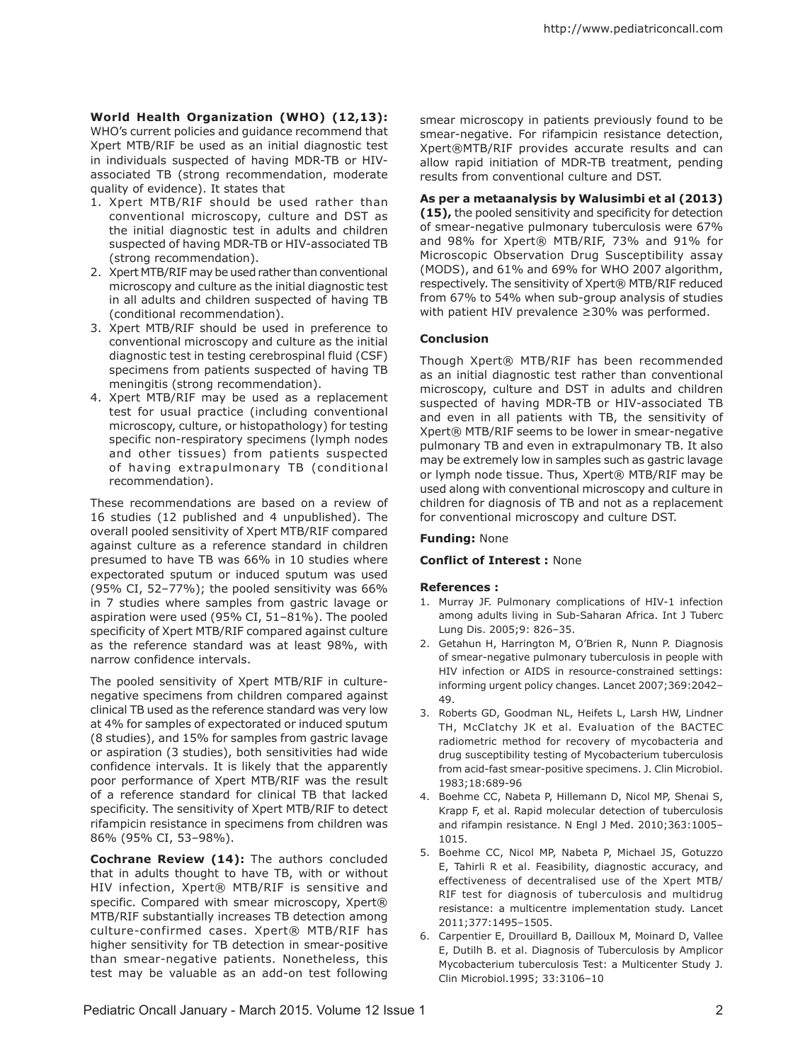**World Health Organization (WHO) (12,13):**  WHO's current policies and guidance recommend that Xpert MTB/RIF be used as an initial diagnostic test in individuals suspected of having MDR-TB or HIVassociated TB (strong recommendation, moderate quality of evidence). It states that

- 1. Xpert MTB/RIF should be used rather than conventional microscopy, culture and DST as the initial diagnostic test in adults and children suspected of having MDR-TB or HIV-associated TB (strong recommendation).
- 2. Xpert MTB/RIF may be used rather than conventional microscopy and culture as the initial diagnostic test in all adults and children suspected of having TB (conditional recommendation).
- 3. Xpert MTB/RIF should be used in preference to conventional microscopy and culture as the initial diagnostic test in testing cerebrospinal fluid (CSF) specimens from patients suspected of having TB meningitis (strong recommendation).
- 4. Xpert MTB/RIF may be used as a replacement test for usual practice (including conventional microscopy, culture, or histopathology) for testing specific non-respiratory specimens (lymph nodes and other tissues) from patients suspected of having extrapulmonary TB (conditional recommendation).

These recommendations are based on a review of 16 studies (12 published and 4 unpublished). The overall pooled sensitivity of Xpert MTB/RIF compared against culture as a reference standard in children presumed to have TB was 66% in 10 studies where expectorated sputum or induced sputum was used (95% CI, 52–77%); the pooled sensitivity was 66% in 7 studies where samples from gastric lavage or aspiration were used (95% CI, 51–81%). The pooled specificity of Xpert MTB/RIF compared against culture as the reference standard was at least 98%, with narrow confidence intervals.

The pooled sensitivity of Xpert MTB/RIF in culturenegative specimens from children compared against clinical TB used as the reference standard was very low at 4% for samples of expectorated or induced sputum (8 studies), and 15% for samples from gastric lavage or aspiration (3 studies), both sensitivities had wide confidence intervals. It is likely that the apparently poor performance of Xpert MTB/RIF was the result of a reference standard for clinical TB that lacked specificity. The sensitivity of Xpert MTB/RIF to detect rifampicin resistance in specimens from children was 86% (95% CI, 53–98%).

**Cochrane Review (14):** The authors concluded that in adults thought to have TB, with or without HIV infection, Xpert® MTB/RIF is sensitive and specific. Compared with smear microscopy, Xpert® MTB/RIF substantially increases TB detection among culture-confirmed cases. Xpert® MTB/RIF has higher sensitivity for TB detection in smear-positive than smear-negative patients. Nonetheless, this test may be valuable as an add-on test following

smear microscopy in patients previously found to be smear-negative. For rifampicin resistance detection, Xpert®MTB/RIF provides accurate results and can allow rapid initiation of MDR-TB treatment, pending results from conventional culture and DST.

# **As per a metaanalysis by Walusimbi et al (2013)**

**(15),** the pooled sensitivity and specificity for detection of smear-negative pulmonary tuberculosis were 67% and 98% for Xpert® MTB/RIF, 73% and 91% for Microscopic Observation Drug Susceptibility assay (MODS), and 61% and 69% for WHO 2007 algorithm, respectively. The sensitivity of Xpert® MTB/RIF reduced from 67% to 54% when sub-group analysis of studies with patient HIV prevalence ≥30% was performed.

## **Conclusion**

Though Xpert® MTB/RIF has been recommended as an initial diagnostic test rather than conventional microscopy, culture and DST in adults and children suspected of having MDR-TB or HIV-associated TB and even in all patients with TB, the sensitivity of Xpert® MTB/RIF seems to be lower in smear-negative pulmonary TB and even in extrapulmonary TB. It also may be extremely low in samples such as gastric lavage or lymph node tissue. Thus, Xpert® MTB/RIF may be used along with conventional microscopy and culture in children for diagnosis of TB and not as a replacement for conventional microscopy and culture DST.

## **Funding:** None

## **Conflict of Interest :** None

## **References :**

- 1. Murray JF. Pulmonary complications of HIV-1 infection among adults living in Sub-Saharan Africa. Int J Tuberc Lung Dis. 2005;9: 826–35.
- 2. Getahun H, Harrington M, O'Brien R, Nunn P. Diagnosis of smear-negative pulmonary tuberculosis in people with HIV infection or AIDS in resource-constrained settings: informing urgent policy changes. Lancet 2007;369:2042– 49.
- 3. Roberts GD, Goodman NL, Heifets L, Larsh HW, Lindner TH, McClatchy JK et al. Evaluation of the BACTEC radiometric method for recovery of mycobacteria and drug susceptibility testing of Mycobacterium tuberculosis from acid-fast smear-positive specimens. J. Clin Microbiol. 1983;18:689-96
- 4. Boehme CC, Nabeta P, Hillemann D, Nicol MP, Shenai S, Krapp F, et al. Rapid molecular detection of tuberculosis and rifampin resistance. N Engl J Med. 2010;363:1005– 1015.
- 5. Boehme CC, Nicol MP, Nabeta P, Michael JS, Gotuzzo E, Tahirli R et al. Feasibility, diagnostic accuracy, and effectiveness of decentralised use of the Xpert MTB/ RIF test for diagnosis of tuberculosis and multidrug resistance: a multicentre implementation study. Lancet 2011;377:1495–1505.
- 6. Carpentier E, Drouillard B, Dailloux M, Moinard D, Vallee E, Dutilh B. et al. Diagnosis of Tuberculosis by Amplicor Mycobacterium tuberculosis Test: a Multicenter Study J. Clin Microbiol.1995; 33:3106–10